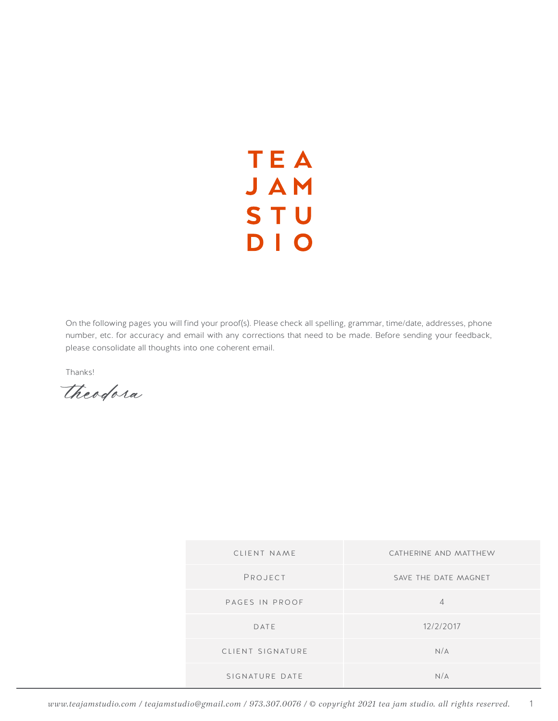## **TEA** JAM **STU** DIO

On the following pages you will find your proof(s). Please check all spelling, grammar, time/date, addresses, phone number, etc. for accuracy and email with any corrections that need to be made. Before sending your feedback, please consolidate all thoughts into one coherent email.

Thanks!

*theodora*

| CLIENT NAME      | CATHERINE AND MATTHEW |
|------------------|-----------------------|
| PROJECT          | SAVE THE DATE MAGNET  |
| PAGES IN PROOF   | $\Delta$              |
| DATE             | 12/2/2017             |
| CLIENT SIGNATURE | N/A                   |
| SIGNATURE DATE   | N/A                   |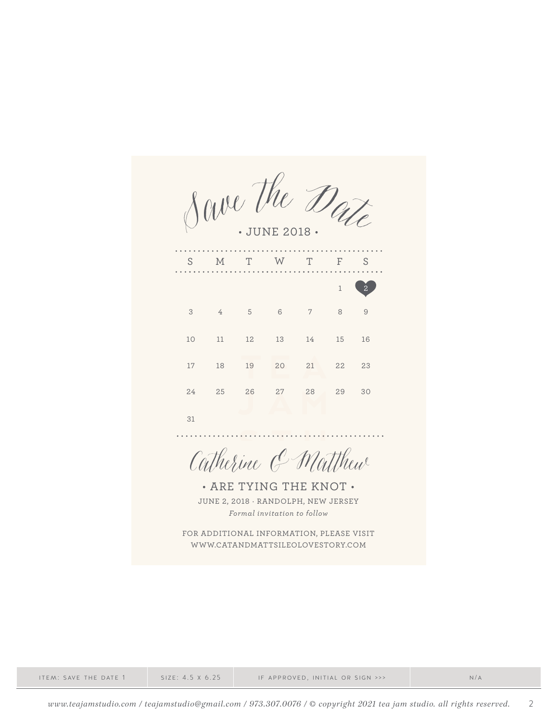Save the Date • JUNE 2018 •

. . . . . . . . . . . . . . . . . . . . S M T W T F S  $1\quad 2$ 3 4 5 6 7 8 9 10 11 12 13 14 15 16 17 18 19 20 21 22 23 24 27 28 29 30 25 26 31

Catherine & Matthew

• ARE TYING THE KNOT • JUNE 2, 2018 · RANDOLPH, NEW JERSEY *Formal invitation to follow*

FOR ADDITIONAL INFORMATION, PLEASE VISIT WWW.CATANDMATTSILEOLOVESTORY.COM

item: save the date 1 size: 4.5 x 6.25 if approved, initial or sign >>> n/a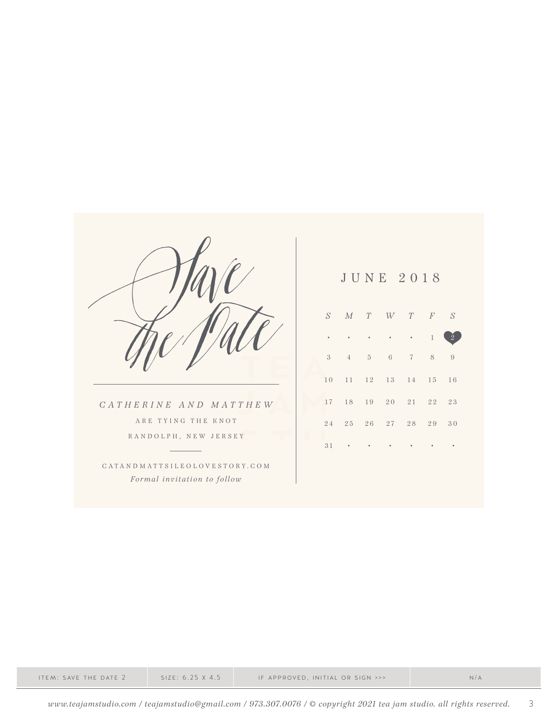|                              |    |                |                | JUNE 2018 |                |    |                |
|------------------------------|----|----------------|----------------|-----------|----------------|----|----------------|
|                              | S  | $M$ T          |                | W         | $T \t F$       |    | S              |
|                              |    |                |                |           |                |    | $\overline{2}$ |
|                              | 3  | $\overline{4}$ | $\overline{5}$ | 6         | $\overline{7}$ | 8  | 9              |
|                              | 10 | 11             | 12             | 13        | 14 15          |    | 16             |
| CATHERINE AND MATTHEW        | 17 | 18             | 19             | 20        | 21             | 22 | 23             |
| ARE TYING THE KNOT           | 24 | 25             | 26             | 27        | 28             | 29 | 30             |
| RANDOLPH, NEW JERSEY         | 31 |                |                |           |                |    |                |
| CATANDMATTSILEOLOVESTORY.COM |    |                |                |           |                |    |                |
| Formal invitation to follow  |    |                |                |           |                |    |                |

item: save the date 2 size: 6.25 x 4.5 if approved, initial or sign >>> n/a